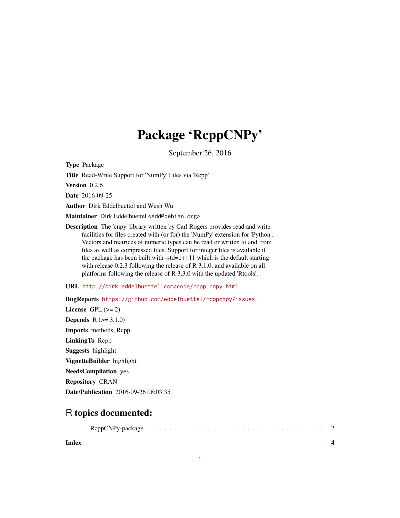## Package 'RcppCNPy'

September 26, 2016

<span id="page-0-0"></span>Type Package

Title Read-Write Support for 'NumPy' Files via 'Rcpp'

Version 0.2.6

Date 2016-09-25

Author Dirk Eddelbuettel and Wush Wu

Maintainer Dirk Eddelbuettel <edd@debian.org>

Description The 'cnpy' library written by Carl Rogers provides read and write facilities for files created with (or for) the 'NumPy' extension for 'Python'. Vectors and matrices of numeric types can be read or written to and from files as well as compressed files. Support for integer files is available if the package has been built with  $-std=c+11$  which is the default starting with release 0.2.3 following the release of R 3.1.0, and available on all platforms following the release of R 3.3.0 with the updated 'Rtools'.

URL <http://dirk.eddelbuettel.com/code/rcpp.cnpy.html>

BugReports <https://github.com/eddelbuettel/rcppcnpy/issues> License GPL  $(>= 2)$ **Depends**  $R (= 3.1.0)$ Imports methods, Rcpp LinkingTo Rcpp Suggests highlight VignetteBuilder highlight NeedsCompilation yes Repository CRAN Date/Publication 2016-09-26 08:03:35

### R topics documented:

**Index** [4](#page-3-0)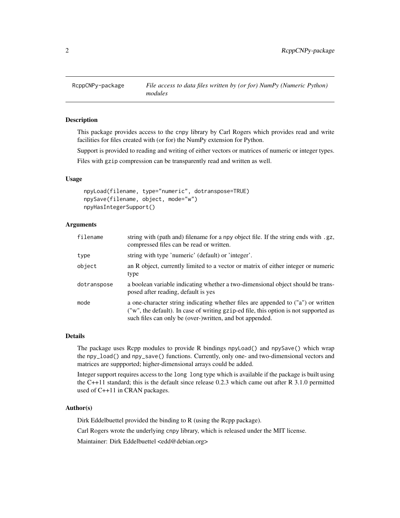<span id="page-1-0"></span>

#### Description

This package provides access to the cnpy library by Carl Rogers which provides read and write facilities for files created with (or for) the NumPy extension for Python.

Support is provided to reading and writing of either vectors or matrices of numeric or integer types.

Files with gzip compression can be transparently read and written as well.

#### Usage

```
npyLoad(filename, type="numeric", dotranspose=TRUE)
npySave(filename, object, mode="w")
npyHasIntegerSupport()
```
#### Arguments

| filename    | string with (path and) filename for a npy object file. If the string ends with .gz,<br>compressed files can be read or written.                                                                                                      |
|-------------|--------------------------------------------------------------------------------------------------------------------------------------------------------------------------------------------------------------------------------------|
| type        | string with type 'numeric' (default) or 'integer'.                                                                                                                                                                                   |
| object      | an R object, currently limited to a vector or matrix of either integer or numeric<br>type                                                                                                                                            |
| dotranspose | a boolean variable indicating whether a two-dimensional object should be trans-<br>posed after reading, default is yes                                                                                                               |
| mode        | a one-character string indicating whether files are appended to ("a") or written<br>("w", the default). In case of writing gzip-ed file, this option is not supported as<br>such files can only be (over-)written, and bot appended. |

#### Details

The package uses Rcpp modules to provide R bindings npyLoad() and npySave() which wrap the npy\_load() and npy\_save() functions. Currently, only one- and two-dimensional vectors and matrices are suppported; higher-dimensional arrays could be added.

Integer support requires access to the long long type which is available if the package is built using the C++11 standard; this is the default since release 0.2.3 which came out after R 3.1.0 permitted used of C++11 in CRAN packages.

#### Author(s)

Dirk Eddelbuettel provided the binding to R (using the Rcpp package).

Carl Rogers wrote the underlying cnpy library, which is released under the MIT license.

Maintainer: Dirk Eddelbuettel <edd@debian.org>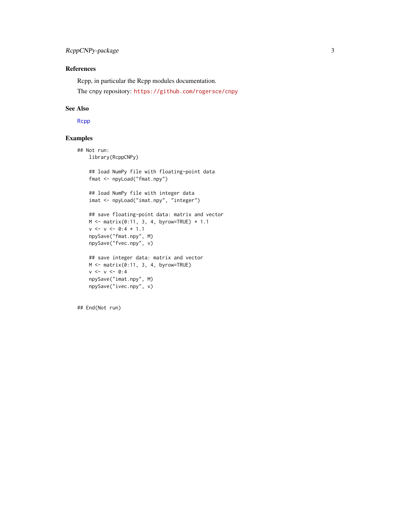#### <span id="page-2-0"></span>References

Rcpp, in particular the Rcpp modules documentation.

The cnpy repository: <https://github.com/rogersce/cnpy>

#### See Also

[Rcpp](#page-0-0)

#### Examples

```
## Not run:
   library(RcppCNPy)
   ## load NumPy file with floating-point data
   fmat <- npyLoad("fmat.npy")
   ## load NumPy file with integer data
   imat <- npyLoad("imat.npy", "integer")
   ## save floating-point data: matrix and vector
   M \leftarrow matrix(0:11, 3, 4, byrow=True) * 1.1v \le v \le 0:4 \times 1.1npySave("fmat.npy", M)
   npySave("fvec.npy", v)
   ## save integer data: matrix and vector
   M <- matrix(0:11, 3, 4, byrow=TRUE)
   v < -v < -0:4npySave("imat.npy", M)
   npySave("ivec.npy", v)
```
## End(Not run)